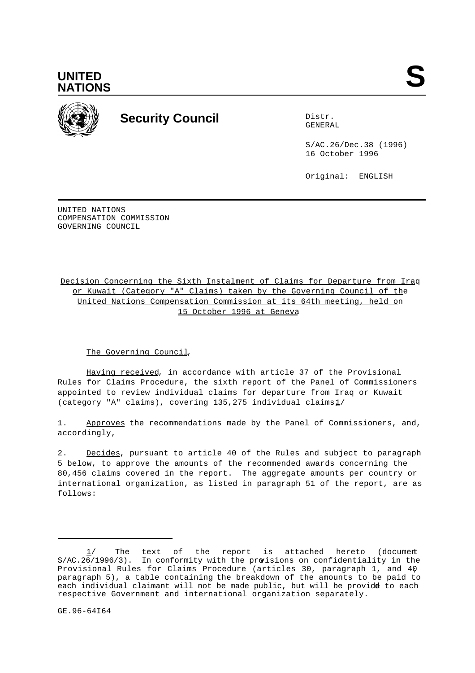



# **Security Council** Distribution of Distribution of Distribution of Distribution of Distribution of Distribution of Distribution of Distribution of Distribution of Distribution of Distribution of Distribution of Distributio

GENERAL

S/AC.26/Dec.38 (1996) 16 October 1996

Original: ENGLISH

UNITED NATIONS COMPENSATION COMMISSION GOVERNING COUNCIL

Decision Concerning the Sixth Instalment of Claims for Departure from Iraq or Kuwait (Category "A" Claims) taken by the Governing Council of the United Nations Compensation Commission at its 64th meeting, held on 15 October 1996 at Geneva

### The Governing Council,

Having received, in accordance with article 37 of the Provisional Rules for Claims Procedure, the sixth report of the Panel of Commissioners appointed to review individual claims for departure from Iraq or Kuwait (category "A" claims), covering  $135,275$  individual claims $1/$ 

1. Approves the recommendations made by the Panel of Commissioners, and, accordingly,

2. Decides, pursuant to article 40 of the Rules and subject to paragraph 5 below, to approve the amounts of the recommended awards concerning the 80,456 claims covered in the report. The aggregate amounts per country or international organization, as listed in paragraph 51 of the report, are as follows:

 $1/$  The text of the report is attached hereto (document S/AC.26/1996/3). In conformity with the provisions on confidentiality in the Provisional Rules for Claims Procedure (articles 30, paragraph 1, and 40, paragraph 5), a table containing the breakdown of the amounts to be paid to each individual claimant will not be made public, but will be provide to each respective Government and international organization separately.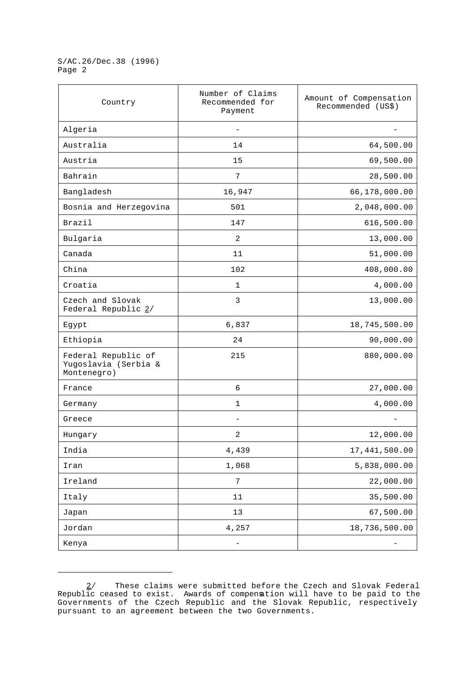S/AC.26/Dec.38 (1996) Page 2

| Country                                                    | Number of Claims<br>Recommended for<br>Payment | Amount of Compensation<br>Recommended (US\$) |
|------------------------------------------------------------|------------------------------------------------|----------------------------------------------|
| Algeria                                                    |                                                |                                              |
| Australia                                                  | 14                                             | 64,500.00                                    |
| Austria                                                    | 15                                             | 69,500.00                                    |
| Bahrain                                                    | 7                                              | 28,500.00                                    |
| Bangladesh                                                 | 16,947                                         | 66,178,000.00                                |
| Bosnia and Herzegovina                                     | 501                                            | 2,048,000.00                                 |
| Brazil                                                     | 147                                            | 616,500.00                                   |
| Bulgaria                                                   | 2                                              | 13,000.00                                    |
| Canada                                                     | 11                                             | 51,000.00                                    |
| China                                                      | 102                                            | 408,000.00                                   |
| Croatia                                                    | 1                                              | 4,000.00                                     |
| Czech and Slovak<br>Federal Republic 2/                    | 3                                              | 13,000.00                                    |
| Egypt                                                      | 6,837                                          | 18,745,500.00                                |
| Ethiopia                                                   | 24                                             | 90,000.00                                    |
| Federal Republic of<br>Yugoslavia (Serbia &<br>Montenegro) | 215                                            | 880,000.00                                   |
| France                                                     | 6                                              | 27,000.00                                    |
| Germany                                                    | 1                                              | 4,000.00                                     |
| Greece                                                     |                                                |                                              |
| Hungary                                                    | 2                                              | 12,000.00                                    |
| India                                                      | 4,439                                          | 17,441,500.00                                |
| Iran                                                       | 1,068                                          | 5,838,000.00                                 |
| Ireland                                                    | 7                                              | 22,000.00                                    |
| Italy                                                      | $11\,$                                         | 35,500.00                                    |
| Japan                                                      | 13                                             | 67,500.00                                    |
| Jordan                                                     | 4,257                                          | 18,736,500.00                                |
| Kenya                                                      | -                                              |                                              |

<sup>2/</sup> These claims were submitted before the Czech and Slovak Federal Republic ceased to exist. Awards of compensation will have to be paid to the Governments of the Czech Republic and the Slovak Republic, respectively, pursuant to an agreement between the two Governments.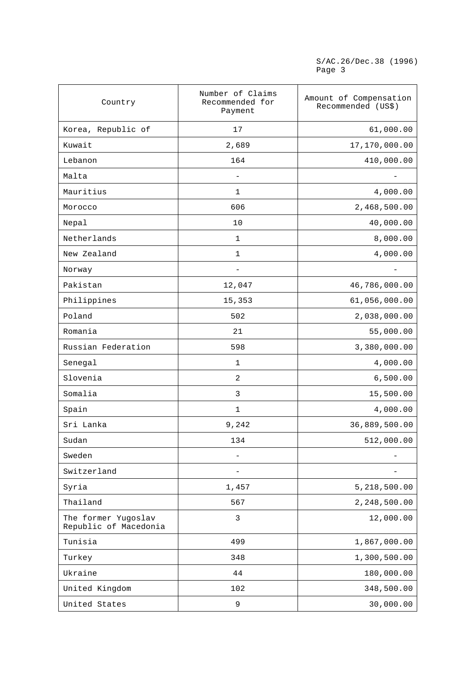S/AC.26/Dec.38 (1996) Page 3

| Country                                      | Number of Claims<br>Recommended for<br>Payment | Amount of Compensation<br>Recommended (US\$) |
|----------------------------------------------|------------------------------------------------|----------------------------------------------|
| Korea, Republic of                           | 17                                             | 61,000.00                                    |
| Kuwait                                       | 2,689                                          | 17,170,000.00                                |
| Lebanon                                      | 164                                            | 410,000.00                                   |
| Malta                                        |                                                |                                              |
| Mauritius                                    | $\mathbf 1$                                    | 4,000.00                                     |
| Morocco                                      | 606                                            | 2,468,500.00                                 |
| Nepal                                        | 10                                             | 40,000.00                                    |
| Netherlands                                  | $\mathbf 1$                                    | 8,000.00                                     |
| New Zealand                                  | $\mathbf 1$                                    | 4,000.00                                     |
| Norway                                       |                                                |                                              |
| Pakistan                                     | 12,047                                         | 46,786,000.00                                |
| Philippines                                  | 15,353                                         | 61,056,000.00                                |
| Poland                                       | 502                                            | 2,038,000.00                                 |
| Romania                                      | 21                                             | 55,000.00                                    |
| Russian Federation                           | 598                                            | 3,380,000.00                                 |
| Senegal                                      | $\mathbf 1$                                    | 4,000.00                                     |
| Slovenia                                     | 2                                              | 6,500.00                                     |
| Somalia                                      | 3                                              | 15,500.00                                    |
| Spain                                        | 1                                              | 4,000.00                                     |
| Sri Lanka                                    | 9,242                                          | 36,889,500.00                                |
| Sudan                                        | 134                                            | 512,000.00                                   |
| Sweden                                       |                                                |                                              |
| Switzerland                                  |                                                |                                              |
| Syria                                        | 1,457                                          | 5,218,500.00                                 |
| Thailand                                     | 567                                            | 2,248,500.00                                 |
| The former Yugoslav<br>Republic of Macedonia | 3                                              | 12,000.00                                    |
| Tunisia                                      | 499                                            | 1,867,000.00                                 |
| Turkey                                       | 348                                            | 1,300,500.00                                 |
| Ukraine                                      | 44                                             | 180,000.00                                   |
| United Kingdom                               | 102                                            | 348,500.00                                   |
| United States                                | 9                                              | 30,000.00                                    |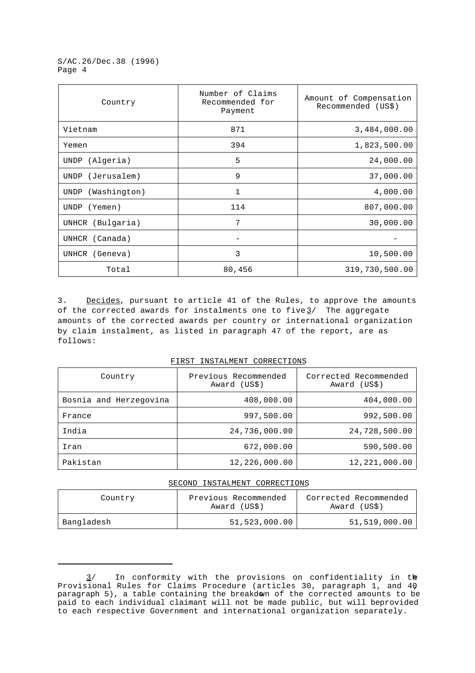S/AC.26/Dec.38 (1996) Page 4

| Country                     | Number of Claims<br>Recommended for<br>Payment | Amount of Compensation<br>Recommended (US\$) |
|-----------------------------|------------------------------------------------|----------------------------------------------|
| Vietnam                     | 871                                            | 3,484,000.00                                 |
| Yemen                       | 394                                            | 1,823,500.00                                 |
| (Algeria)<br>UNDP           | 5                                              | 24,000.00                                    |
| (Jerusalem)<br>UNDP         | 9                                              | 37,000.00                                    |
| (Washington)<br><b>UNDP</b> | 1                                              | 4,000.00                                     |
| (Yemen)<br><b>UNDP</b>      | 114                                            | 807,000.00                                   |
| UNHCR (Bulgaria)            | 7                                              | 30,000.00                                    |
| UNHCR (Canada)              |                                                |                                              |
| UNHCR (Geneva)              | 3                                              | 10,500.00                                    |
| Total                       | 80,456                                         | 319,730,500.00                               |

3. Decides, pursuant to article 41 of the Rules, to approve the amounts of the corrected awards for instalments one to five $\frac{3}{}$  The aggregate amounts of the corrected awards per country or international organization by claim instalment, as listed in paragraph 47 of the report, are as follows:

FIRST INSTALMENT CORRECTIONS

| Country                | Previous Recommended<br>Award (US\$) | Corrected Recommended<br>Award (US\$) |
|------------------------|--------------------------------------|---------------------------------------|
| Bosnia and Herzegovina | 408,000.00                           | 404,000.00                            |
| France                 | 997,500.00                           | 992,500.00                            |
| India                  | 24,736,000.00                        | 24,728,500.00                         |
| Iran                   | 672,000.00                           | 590,500.00                            |
| Pakistan               | 12,226,000.00                        | 12,221,000.00                         |

# SECOND INSTALMENT CORRECTIONS

| Country    | Previous Recommended<br>Award (US\$) | Corrected Recommended<br>Award (US\$) |
|------------|--------------------------------------|---------------------------------------|
| Bangladesh | 51,523,000.00                        | 51,519,000.00                         |

 $3/$  In conformity with the provisions on confidentiality in the Provisional Rules for Claims Procedure (articles 30, paragraph 1, and 40, paragraph 5), a table containing the breakdown of the corrected amounts to be paid to each individual claimant will not be made public, but will be provided to each respective Government and international organization separately.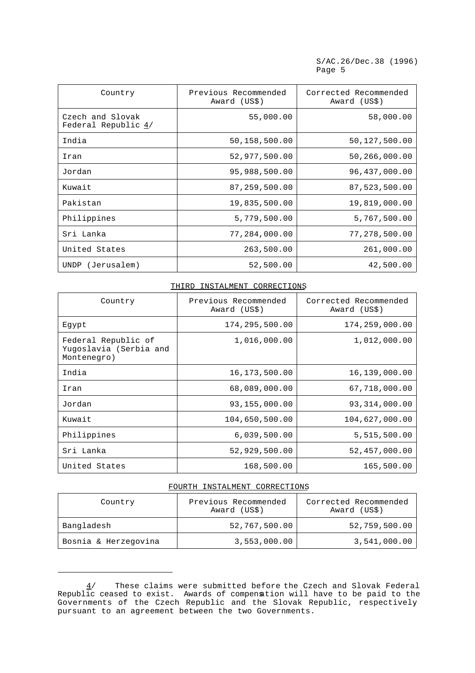S/AC.26/Dec.38 (1996) Page 5

| Country                                 | Previous Recommended<br>Award (US\$) | Corrected Recommended<br>Award (US\$) |
|-----------------------------------------|--------------------------------------|---------------------------------------|
| Czech and Slovak<br>Federal Republic 4/ | 55,000.00                            | 58,000.00                             |
| India                                   | 50,158,500.00                        | 50,127,500.00                         |
| Iran                                    | 52,977,500.00                        | 50,266,000.00                         |
| Jordan                                  | 95,988,500.00                        | 96,437,000.00                         |
| Kuwait                                  | 87,259,500.00                        | 87,523,500.00                         |
| Pakistan                                | 19,835,500.00                        | 19,819,000.00                         |
| Philippines                             | 5,779,500.00                         | 5,767,500.00                          |
| Sri Lanka                               | 77,284,000.00                        | 77,278,500.00                         |
| United States                           | 263,500.00                           | 261,000.00                            |
| (Jerusalem)<br>UNDP                     | 52,500.00                            | 42,500.00                             |

# THIRD INSTALMENT CORRECTIONS

| Country                                                      | Previous Recommended<br>Award (US\$) | Corrected Recommended<br>Award (US\$) |
|--------------------------------------------------------------|--------------------------------------|---------------------------------------|
| Egypt                                                        | 174,295,500.00                       | 174,259,000.00                        |
| Federal Republic of<br>Yuqoslavia (Serbia and<br>Montenegro) | 1,016,000.00                         | 1,012,000.00                          |
| India                                                        | 16, 173, 500.00                      | 16,139,000.00                         |
| Iran                                                         | 68,089,000.00                        | 67,718,000.00                         |
| Jordan                                                       | 93,155,000.00                        | 93, 314, 000.00                       |
| Kuwait                                                       | 104,650,500.00                       | 104,627,000.00                        |
| Philippines                                                  | 6,039,500.00                         | 5,515,500.00                          |
| Sri Lanka                                                    | 52,929,500.00                        | 52,457,000.00                         |
| United States                                                | 168,500.00                           | 165,500.00                            |

#### FOURTH INSTALMENT CORRECTIONS

| Country              | Previous Recommended<br>Award (US\$) | Corrected Recommended<br>Award (US\$) |
|----------------------|--------------------------------------|---------------------------------------|
| Bangladesh           | 52,767,500.00                        | 52,759,500.00                         |
| Bosnia & Herzegovina | 3,553,000.00                         | 3,541,000.00                          |

 $\frac{4}{1}$  These claims were submitted before the Czech and Slovak Federal Republic ceased to exist. Awards of compensation will have to be paid to the Governments of the Czech Republic and the Slovak Republic, respectively, pursuant to an agreement between the two Governments.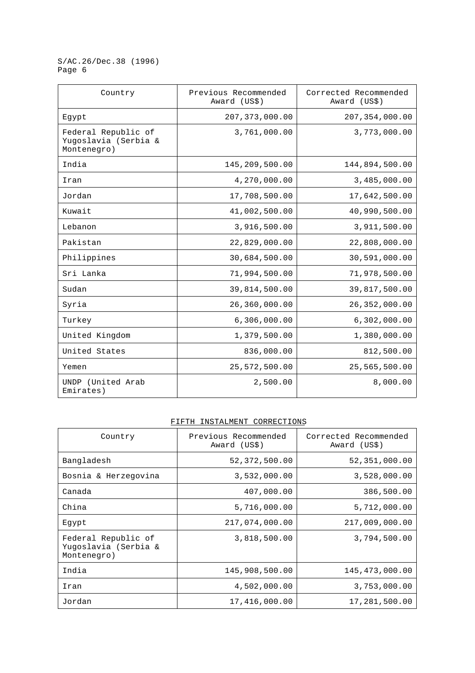S/AC.26/Dec.38 (1996) Page 6

| Country                                                    | Previous Recommended<br>Award (US\$) | Corrected Recommended<br>Award (US\$) |
|------------------------------------------------------------|--------------------------------------|---------------------------------------|
| Egypt                                                      | 207, 373, 000.00                     | 207, 354, 000.00                      |
| Federal Republic of<br>Yugoslavia (Serbia &<br>Montenegro) | 3,761,000.00                         | 3,773,000.00                          |
| India                                                      | 145,209,500.00                       | 144,894,500.00                        |
| Iran                                                       | 4,270,000.00                         | 3,485,000.00                          |
| Jordan                                                     | 17,708,500.00                        | 17,642,500.00                         |
| Kuwait                                                     | 41,002,500.00                        | 40,990,500.00                         |
| Lebanon                                                    | 3,916,500.00                         | 3,911,500.00                          |
| Pakistan                                                   | 22,829,000.00                        | 22,808,000.00                         |
| Philippines                                                | 30,684,500.00                        | 30,591,000.00                         |
| Sri Lanka                                                  | 71,994,500.00                        | 71,978,500.00                         |
| Sudan                                                      | 39,814,500.00                        | 39,817,500.00                         |
| Syria                                                      | 26,360,000.00                        | 26,352,000.00                         |
| Turkey                                                     | 6,306,000.00                         | 6,302,000.00                          |
| United Kingdom                                             | 1,379,500.00                         | 1,380,000.00                          |
| United States                                              | 836,000.00                           | 812,500.00                            |
| Yemen                                                      | 25,572,500.00                        | 25,565,500.00                         |
| UNDP (United Arab<br>Emirates)                             | 2,500.00                             | 8,000.00                              |

#### FIFTH INSTALMENT CORRECTIONS

| Country                                                    | Previous Recommended<br>Award (US\$) | Corrected Recommended<br>Award (US\$) |
|------------------------------------------------------------|--------------------------------------|---------------------------------------|
| Bangladesh                                                 | 52,372,500.00                        | 52,351,000.00                         |
| Bosnia & Herzegovina                                       | 3,532,000.00                         | 3,528,000.00                          |
| Canada                                                     | 407,000.00                           | 386,500.00                            |
| China                                                      | 5,716,000.00                         | 5,712,000.00                          |
| Eqypt                                                      | 217,074,000.00                       | 217,009,000.00                        |
| Federal Republic of<br>Yuqoslavia (Serbia &<br>Montenegro) | 3,818,500.00                         | 3,794,500.00                          |
| India                                                      | 145,908,500.00                       | 145,473,000.00                        |
| Iran                                                       | 4,502,000.00                         | 3,753,000.00                          |
| Jordan                                                     | 17,416,000.00                        | 17,281,500.00                         |